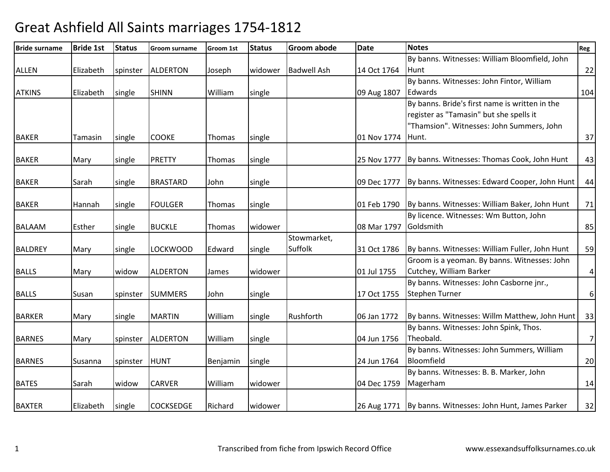| <b>Bride surname</b> | <b>Bride 1st</b> | <b>Status</b> | <b>Groom surname</b> | Groom 1st     | <b>Status</b> | Groom abode        | <b>Date</b> | <b>Notes</b>                                               | Reg                     |
|----------------------|------------------|---------------|----------------------|---------------|---------------|--------------------|-------------|------------------------------------------------------------|-------------------------|
|                      |                  |               |                      |               |               |                    |             | By banns. Witnesses: William Bloomfield, John              |                         |
| <b>ALLEN</b>         | Elizabeth        | spinster      | <b>ALDERTON</b>      | Joseph        | widower       | <b>Badwell Ash</b> | 14 Oct 1764 | Hunt                                                       | 22                      |
|                      |                  |               |                      |               |               |                    |             | By banns. Witnesses: John Fintor, William                  |                         |
| <b>ATKINS</b>        | Elizabeth        | single        | <b>SHINN</b>         | William       | single        |                    | 09 Aug 1807 | Edwards                                                    | 104                     |
|                      |                  |               |                      |               |               |                    |             | By banns. Bride's first name is written in the             |                         |
|                      |                  |               |                      |               |               |                    |             | register as "Tamasin" but she spells it                    |                         |
|                      |                  |               |                      |               |               |                    |             | "Thamsion". Witnesses: John Summers, John                  |                         |
| <b>BAKER</b>         | Tamasin          | single        | <b>COOKE</b>         | Thomas        | single        |                    | 01 Nov 1774 | Hunt.                                                      | 37                      |
| <b>BAKER</b>         | Mary             | single        | <b>PRETTY</b>        | Thomas        | single        |                    | 25 Nov 1777 | By banns. Witnesses: Thomas Cook, John Hunt                | 43                      |
|                      |                  |               |                      |               |               |                    |             |                                                            |                         |
| <b>BAKER</b>         | Sarah            | single        | <b>BRASTARD</b>      | John          | single        |                    | 09 Dec 1777 | By banns. Witnesses: Edward Cooper, John Hunt              | 44                      |
|                      |                  |               |                      |               |               |                    |             |                                                            |                         |
| <b>BAKER</b>         | Hannah           | single        | <b>FOULGER</b>       | Thomas        | single        |                    | 01 Feb 1790 | By banns. Witnesses: William Baker, John Hunt              | 71                      |
|                      |                  |               |                      |               |               |                    |             | By licence. Witnesses: Wm Button, John                     |                         |
| <b>BALAAM</b>        | Esther           | single        | <b>BUCKLE</b>        | <b>Thomas</b> | widower       |                    | 08 Mar 1797 | Goldsmith                                                  | 85                      |
|                      |                  |               |                      |               |               | Stowmarket,        |             |                                                            |                         |
| <b>BALDREY</b>       | Mary             | single        | <b>LOCKWOOD</b>      | Edward        | single        | Suffolk            | 31 Oct 1786 | By banns. Witnesses: William Fuller, John Hunt             | 59                      |
|                      |                  |               |                      |               |               |                    |             | Groom is a yeoman. By banns. Witnesses: John               |                         |
| <b>BALLS</b>         | Mary             | widow         | <b>ALDERTON</b>      | James         | widower       |                    | 01 Jul 1755 | Cutchey, William Barker                                    | $\overline{\mathbf{r}}$ |
|                      |                  |               |                      |               |               |                    |             | By banns. Witnesses: John Casborne jnr.,                   |                         |
| <b>BALLS</b>         | Susan            | spinster      | <b>SUMMERS</b>       | John          | single        |                    | 17 Oct 1755 | <b>Stephen Turner</b>                                      | 6                       |
| <b>BARKER</b>        | Mary             | single        | <b>MARTIN</b>        | William       | single        | Rushforth          | 06 Jan 1772 | By banns. Witnesses: Willm Matthew, John Hunt              | 33                      |
|                      |                  |               |                      |               |               |                    |             | By banns. Witnesses: John Spink, Thos.                     |                         |
| <b>BARNES</b>        | Mary             | spinster      | <b>ALDERTON</b>      | William       | single        |                    | 04 Jun 1756 | Theobald.                                                  | $\overline{7}$          |
|                      |                  |               |                      |               |               |                    |             | By banns. Witnesses: John Summers, William                 |                         |
| <b>BARNES</b>        | Susanna          | spinster      | <b>HUNT</b>          | Benjamin      | single        |                    | 24 Jun 1764 | Bloomfield                                                 | 20                      |
|                      |                  |               |                      |               |               |                    |             | By banns. Witnesses: B. B. Marker, John                    |                         |
| <b>BATES</b>         | Sarah            | widow         | <b>CARVER</b>        | William       | widower       |                    | 04 Dec 1759 | Magerham                                                   | 14                      |
|                      |                  |               |                      |               |               |                    |             |                                                            |                         |
| <b>BAXTER</b>        | Elizabeth        | single        | <b>COCKSEDGE</b>     | Richard       | widower       |                    |             | 26 Aug 1771   By banns. Witnesses: John Hunt, James Parker | 32                      |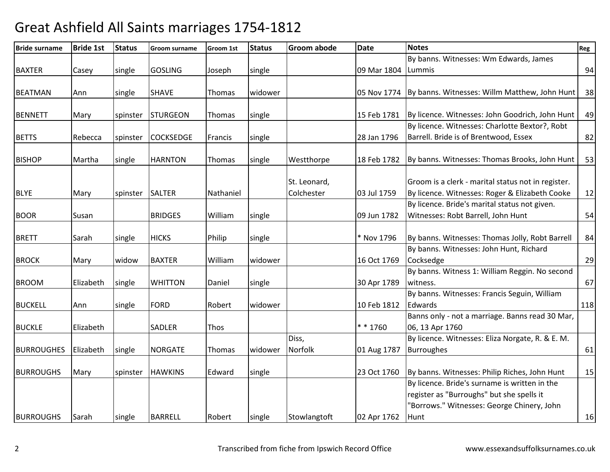| <b>Bride surname</b> | <b>Bride 1st</b> | <b>Status</b> | Groom surname    | Groom 1st   | <b>Status</b> | <b>Groom abode</b> | <b>Date</b>          | <b>Notes</b>                                       | Reg |
|----------------------|------------------|---------------|------------------|-------------|---------------|--------------------|----------------------|----------------------------------------------------|-----|
|                      |                  |               |                  |             |               |                    |                      | By banns. Witnesses: Wm Edwards, James             |     |
| <b>BAXTER</b>        | Casey            | single        | <b>GOSLING</b>   | Joseph      | single        |                    | 09 Mar 1804   Lummis |                                                    | 94  |
|                      |                  |               |                  |             |               |                    |                      |                                                    |     |
| <b>BEATMAN</b>       | Ann              | single        | <b>SHAVE</b>     | Thomas      | widower       |                    | 05 Nov 1774          | By banns. Witnesses: Willm Matthew, John Hunt      | 38  |
|                      |                  |               |                  |             |               |                    |                      |                                                    |     |
| <b>BENNETT</b>       | Mary             | spinster      | <b>STURGEON</b>  | Thomas      | single        |                    | 15 Feb 1781          | By licence. Witnesses: John Goodrich, John Hunt    | 49  |
|                      |                  |               |                  |             |               |                    |                      | By licence. Witnesses: Charlotte Bextor?, Robt     |     |
| <b>BETTS</b>         | Rebecca          | spinster      | <b>COCKSEDGE</b> | Francis     | single        |                    | 28 Jan 1796          | Barrell. Bride is of Brentwood, Essex              | 82  |
|                      |                  |               |                  |             |               |                    |                      |                                                    |     |
| <b>BISHOP</b>        | Martha           | single        | <b>HARNTON</b>   | Thomas      | single        | Westthorpe         | 18 Feb 1782          | By banns. Witnesses: Thomas Brooks, John Hunt      | 53  |
|                      |                  |               |                  |             |               |                    |                      |                                                    |     |
|                      |                  |               |                  |             |               | St. Leonard,       |                      | Groom is a clerk - marital status not in register. |     |
| <b>BLYE</b>          | Mary             | spinster      | <b>SALTER</b>    | Nathaniel   |               | Colchester         | 03 Jul 1759          | By licence. Witnesses: Roger & Elizabeth Cooke     | 12  |
|                      |                  |               |                  |             |               |                    |                      | By licence. Bride's marital status not given.      |     |
| <b>BOOR</b>          | Susan            |               | <b>BRIDGES</b>   | William     | single        |                    | 09 Jun 1782          | Witnesses: Robt Barrell, John Hunt                 | 54  |
|                      |                  |               |                  |             |               |                    |                      |                                                    |     |
| <b>BRETT</b>         | Sarah            | single        | <b>HICKS</b>     | Philip      | single        |                    | * Nov 1796           | By banns. Witnesses: Thomas Jolly, Robt Barrell    | 84  |
|                      |                  |               |                  |             |               |                    |                      | By banns. Witnesses: John Hunt, Richard            |     |
| <b>BROCK</b>         | Mary             | widow         | <b>BAXTER</b>    | William     | widower       |                    | 16 Oct 1769          | Cocksedge                                          | 29  |
|                      |                  |               |                  |             |               |                    |                      | By banns. Witness 1: William Reggin. No second     |     |
| <b>BROOM</b>         | Elizabeth        | single        | <b>WHITTON</b>   | Daniel      | single        |                    | 30 Apr 1789          | witness.                                           | 67  |
|                      |                  |               |                  |             |               |                    |                      | By banns. Witnesses: Francis Seguin, William       |     |
| <b>BUCKELL</b>       | Ann              | single        | <b>FORD</b>      | Robert      | widower       |                    | 10 Feb 1812          | Edwards                                            | 118 |
|                      |                  |               |                  |             |               |                    |                      | Banns only - not a marriage. Banns read 30 Mar,    |     |
| <b>BUCKLE</b>        | Elizabeth        |               | <b>SADLER</b>    | <b>Thos</b> |               |                    | $* * 1760$           | 06, 13 Apr 1760                                    |     |
|                      |                  |               |                  |             |               | Diss,              |                      | By licence. Witnesses: Eliza Norgate, R. & E. M.   |     |
| <b>BURROUGHES</b>    | Elizabeth        | single        | <b>NORGATE</b>   | Thomas      | widower       | Norfolk            | 01 Aug 1787          | <b>Burroughes</b>                                  | 61  |
|                      |                  |               |                  |             |               |                    |                      |                                                    |     |
| <b>BURROUGHS</b>     | Mary             | spinster      | <b>HAWKINS</b>   | Edward      | single        |                    | 23 Oct 1760          | By banns. Witnesses: Philip Riches, John Hunt      | 15  |
|                      |                  |               |                  |             |               |                    |                      | By licence. Bride's surname is written in the      |     |
|                      |                  |               |                  |             |               |                    |                      | register as "Burroughs" but she spells it          |     |
|                      |                  |               |                  |             |               |                    |                      | "Borrows." Witnesses: George Chinery, John         |     |
| <b>BURROUGHS</b>     | Sarah            | single        | <b>BARRELL</b>   | Robert      | single        | Stowlangtoft       | 02 Apr 1762          | Hunt                                               | 16  |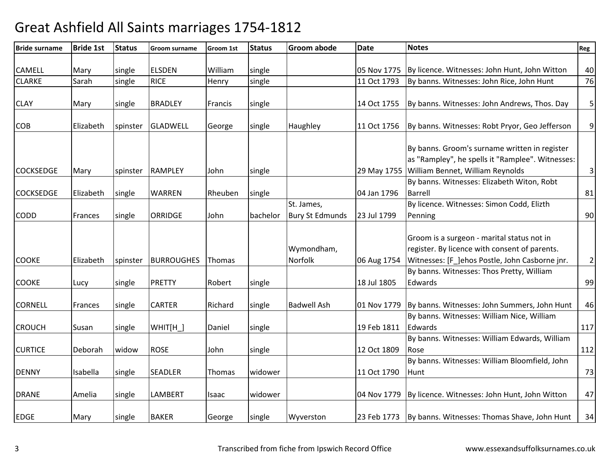| <b>Bride surname</b> | <b>Bride 1st</b> | <b>Status</b> | Groom surname     | <b>Groom 1st</b> | <b>Status</b> | <b>Groom abode</b>     | <b>Date</b> | <b>Notes</b>                                                                                                                                  | Reg              |
|----------------------|------------------|---------------|-------------------|------------------|---------------|------------------------|-------------|-----------------------------------------------------------------------------------------------------------------------------------------------|------------------|
|                      |                  |               |                   |                  |               |                        |             |                                                                                                                                               |                  |
| <b>CAMELL</b>        | Mary             | single        | <b>ELSDEN</b>     | William          | single        |                        |             | 05 Nov 1775   By licence. Witnesses: John Hunt, John Witton                                                                                   | 40               |
| <b>CLARKE</b>        | Sarah            | single        | <b>RICE</b>       | Henry            | single        |                        | 11 Oct 1793 | By banns. Witnesses: John Rice, John Hunt                                                                                                     | 76               |
| <b>CLAY</b>          | Mary             | single        | <b>BRADLEY</b>    | Francis          | single        |                        | 14 Oct 1755 | By banns. Witnesses: John Andrews, Thos. Day                                                                                                  | 5                |
| <b>COB</b>           | Elizabeth        | spinster      | <b>GLADWELL</b>   | George           | single        | Haughley               | 11 Oct 1756 | By banns. Witnesses: Robt Pryor, Geo Jefferson                                                                                                | $\boldsymbol{9}$ |
|                      |                  |               |                   |                  |               |                        |             | By banns. Groom's surname written in register<br>as "Rampley", he spells it "Ramplee". Witnesses:<br>William Bennet, William Reynolds         |                  |
| <b>COCKSEDGE</b>     | Mary             | spinster      | <b>RAMPLEY</b>    | John             | single        |                        | 29 May 1755 | By banns. Witnesses: Elizabeth Witon, Robt                                                                                                    | $\mathsf 3$      |
| <b>COCKSEDGE</b>     | Elizabeth        | single        | <b>WARREN</b>     | Rheuben          | single        |                        | 04 Jan 1796 | <b>Barrell</b>                                                                                                                                | 81               |
|                      |                  |               |                   |                  |               | St. James,             |             | By licence. Witnesses: Simon Codd, Elizth                                                                                                     |                  |
| <b>CODD</b>          | Frances          | single        | <b>ORRIDGE</b>    | John             | bachelor      | <b>Bury St Edmunds</b> | 23 Jul 1799 | Penning                                                                                                                                       | 90               |
|                      |                  |               |                   |                  |               |                        |             |                                                                                                                                               |                  |
| <b>COOKE</b>         | Elizabeth        | spinster      | <b>BURROUGHES</b> | Thomas           |               | Wymondham,<br>Norfolk  | 06 Aug 1754 | Groom is a surgeon - marital status not in<br>register. By licence with consent of parents.<br>Witnesses: [F_]ehos Postle, John Casborne jnr. | $\overline{2}$   |
|                      |                  |               |                   |                  |               |                        |             | By banns. Witnesses: Thos Pretty, William                                                                                                     |                  |
| <b>COOKE</b>         | Lucy             | single        | <b>PRETTY</b>     | Robert           | single        |                        | 18 Jul 1805 | Edwards                                                                                                                                       | 99               |
| <b>CORNELL</b>       | Frances          | single        | <b>CARTER</b>     | Richard          | single        | <b>Badwell Ash</b>     |             | 01 Nov 1779 By banns. Witnesses: John Summers, John Hunt                                                                                      | 46               |
| <b>CROUCH</b>        | Susan            | single        | WHIT[H_]          | Daniel           | single        |                        | 19 Feb 1811 | By banns. Witnesses: William Nice, William<br>Edwards                                                                                         | 117              |
| <b>CURTICE</b>       | Deborah          | widow         | <b>ROSE</b>       | John             | single        |                        | 12 Oct 1809 | By banns. Witnesses: William Edwards, William<br>Rose                                                                                         | 112              |
| <b>DENNY</b>         | Isabella         | single        | <b>SEADLER</b>    | Thomas           | widower       |                        | 11 Oct 1790 | By banns. Witnesses: William Bloomfield, John<br>Hunt                                                                                         | 73               |
| <b>DRANE</b>         | Amelia           | single        | <b>LAMBERT</b>    | Isaac            | widower       |                        |             | 04 Nov 1779 By licence. Witnesses: John Hunt, John Witton                                                                                     | 47               |
| <b>EDGE</b>          | Mary             | single        | <b>BAKER</b>      | George           | single        | Wyverston              |             | 23 Feb 1773 By banns. Witnesses: Thomas Shave, John Hunt                                                                                      | 34               |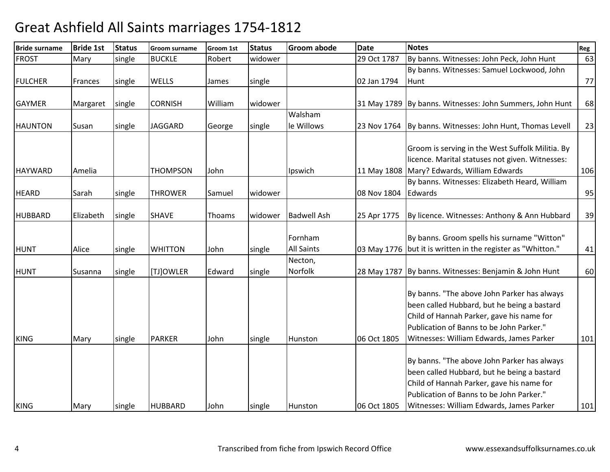| <b>Bride surname</b> | <b>Bride 1st</b> | <b>Status</b> | <b>Groom surname</b> | Groom 1st | <b>Status</b> | <b>Groom abode</b> | <b>Date</b> | <b>Notes</b>                                             | Reg |
|----------------------|------------------|---------------|----------------------|-----------|---------------|--------------------|-------------|----------------------------------------------------------|-----|
| <b>FROST</b>         | Mary             | single        | <b>BUCKLE</b>        | Robert    | widower       |                    | 29 Oct 1787 | By banns. Witnesses: John Peck, John Hunt                | 63  |
|                      |                  |               |                      |           |               |                    |             | By banns. Witnesses: Samuel Lockwood, John               |     |
| <b>FULCHER</b>       | Frances          | single        | <b>WELLS</b>         | James     | single        |                    | 02 Jan 1794 | Hunt                                                     | 77  |
|                      |                  |               |                      |           |               |                    |             |                                                          |     |
| <b>GAYMER</b>        | Margaret         | single        | <b>CORNISH</b>       | William   | widower       |                    |             | 31 May 1789 By banns. Witnesses: John Summers, John Hunt | 68  |
|                      |                  |               |                      |           |               | Walsham            |             |                                                          |     |
| <b>HAUNTON</b>       | Susan            | single        | <b>JAGGARD</b>       | George    | single        | le Willows         | 23 Nov 1764 | By banns. Witnesses: John Hunt, Thomas Levell            | 23  |
|                      |                  |               |                      |           |               |                    |             |                                                          |     |
|                      |                  |               |                      |           |               |                    |             | Groom is serving in the West Suffolk Militia. By         |     |
|                      |                  |               |                      |           |               |                    |             | licence. Marital statuses not given. Witnesses:          |     |
| <b>HAYWARD</b>       | Amelia           |               | <b>THOMPSON</b>      | John      |               | Ipswich            | 11 May 1808 | Mary? Edwards, William Edwards                           | 106 |
|                      |                  |               |                      |           |               |                    |             | By banns. Witnesses: Elizabeth Heard, William            |     |
| <b>HEARD</b>         | Sarah            | single        | <b>THROWER</b>       | Samuel    | widower       |                    | 08 Nov 1804 | Edwards                                                  | 95  |
|                      |                  |               |                      |           |               |                    |             |                                                          |     |
| <b>HUBBARD</b>       | Elizabeth        | single        | <b>SHAVE</b>         | Thoams    | widower       | <b>Badwell Ash</b> | 25 Apr 1775 | By licence. Witnesses: Anthony & Ann Hubbard             | 39  |
|                      |                  |               |                      |           |               |                    |             |                                                          |     |
|                      |                  |               |                      |           |               | Fornham            |             | By banns. Groom spells his surname "Witton"              |     |
| <b>HUNT</b>          | Alice            | single        | <b>WHITTON</b>       | John      | single        | <b>All Saints</b>  | 03 May 1776 | but it is written in the register as "Whitton."          | 41  |
|                      |                  |               |                      |           |               | Necton,            |             |                                                          |     |
| <b>HUNT</b>          | Susanna          | single        | [TJ]OWLER            | Edward    | single        | Norfolk            |             | 28 May 1787 By banns. Witnesses: Benjamin & John Hunt    | 60  |
|                      |                  |               |                      |           |               |                    |             |                                                          |     |
|                      |                  |               |                      |           |               |                    |             | By banns. "The above John Parker has always              |     |
|                      |                  |               |                      |           |               |                    |             | been called Hubbard, but he being a bastard              |     |
|                      |                  |               |                      |           |               |                    |             | Child of Hannah Parker, gave his name for                |     |
|                      |                  |               |                      |           |               |                    |             | Publication of Banns to be John Parker."                 |     |
| <b>KING</b>          | Mary             | single        | <b>PARKER</b>        | John      | single        | Hunston            | 06 Oct 1805 | Witnesses: William Edwards, James Parker                 | 101 |
|                      |                  |               |                      |           |               |                    |             |                                                          |     |
|                      |                  |               |                      |           |               |                    |             | By banns. "The above John Parker has always              |     |
|                      |                  |               |                      |           |               |                    |             | been called Hubbard, but he being a bastard              |     |
|                      |                  |               |                      |           |               |                    |             | Child of Hannah Parker, gave his name for                |     |
|                      |                  |               |                      |           |               |                    |             | Publication of Banns to be John Parker."                 |     |
| <b>KING</b>          | Mary             | single        | <b>HUBBARD</b>       | John      | single        | Hunston            | 06 Oct 1805 | Witnesses: William Edwards, James Parker                 | 101 |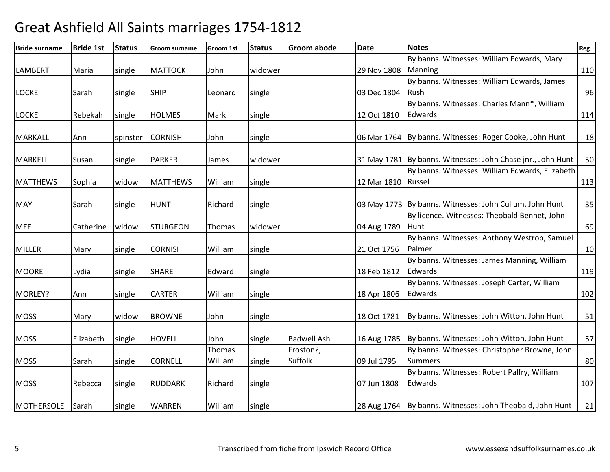| <b>Bride surname</b> | <b>Bride 1st</b> | <b>Status</b> | <b>Groom surname</b> | Groom 1st     | <b>Status</b> | Groom abode        | <b>Date</b> | <b>Notes</b>                                                | Reg |
|----------------------|------------------|---------------|----------------------|---------------|---------------|--------------------|-------------|-------------------------------------------------------------|-----|
|                      |                  |               |                      |               |               |                    |             | By banns. Witnesses: William Edwards, Mary                  |     |
| <b>LAMBERT</b>       | Maria            | single        | <b>MATTOCK</b>       | John          | widower       |                    | 29 Nov 1808 | Manning                                                     | 110 |
|                      |                  |               |                      |               |               |                    |             | By banns. Witnesses: William Edwards, James                 |     |
| <b>LOCKE</b>         | Sarah            | single        | <b>SHIP</b>          | Leonard       | single        |                    | 03 Dec 1804 | Rush                                                        | 96  |
|                      |                  |               |                      |               |               |                    |             | By banns. Witnesses: Charles Mann*, William                 |     |
| <b>LOCKE</b>         | Rebekah          | single        | <b>HOLMES</b>        | Mark          | single        |                    | 12 Oct 1810 | Edwards                                                     | 114 |
|                      |                  |               |                      |               |               |                    |             |                                                             |     |
| <b>MARKALL</b>       | Ann              | spinster      | <b>CORNISH</b>       | John          | single        |                    |             | 06 Mar 1764 By banns. Witnesses: Roger Cooke, John Hunt     | 18  |
|                      |                  |               |                      |               |               |                    |             |                                                             |     |
| <b>MARKELL</b>       | Susan            | single        | <b>PARKER</b>        | James         | widower       |                    |             | 31 May 1781 By banns. Witnesses: John Chase jnr., John Hunt | 50  |
|                      |                  |               |                      |               |               |                    |             | By banns. Witnesses: William Edwards, Elizabeth             |     |
| <b>MATTHEWS</b>      | Sophia           | widow         | <b>MATTHEWS</b>      | William       | single        |                    | 12 Mar 1810 | Russel                                                      | 113 |
| <b>MAY</b>           | Sarah            | single        | <b>HUNT</b>          | Richard       | single        |                    |             | 03 May 1773 By banns. Witnesses: John Cullum, John Hunt     | 35  |
|                      |                  |               |                      |               |               |                    |             | By licence. Witnesses: Theobald Bennet, John                |     |
| <b>MEE</b>           | Catherine        | widow         | <b>STURGEON</b>      | <b>Thomas</b> | widower       |                    | 04 Aug 1789 | Hunt                                                        | 69  |
|                      |                  |               |                      |               |               |                    |             | By banns. Witnesses: Anthony Westrop, Samuel                |     |
| <b>MILLER</b>        | Mary             | single        | <b>CORNISH</b>       | William       | single        |                    | 21 Oct 1756 | Palmer                                                      | 10  |
|                      |                  |               |                      |               |               |                    |             | By banns. Witnesses: James Manning, William                 |     |
| <b>MOORE</b>         | Lydia            | single        | <b>SHARE</b>         | Edward        | single        |                    | 18 Feb 1812 | Edwards                                                     | 119 |
|                      |                  |               |                      |               |               |                    |             | By banns. Witnesses: Joseph Carter, William                 |     |
| MORLEY?              | Ann              | single        | <b>CARTER</b>        | William       | single        |                    | 18 Apr 1806 | Edwards                                                     | 102 |
|                      |                  |               |                      |               |               |                    |             |                                                             |     |
| <b>MOSS</b>          | Mary             | widow         | <b>BROWNE</b>        | John          | single        |                    | 18 Oct 1781 | By banns. Witnesses: John Witton, John Hunt                 | 51  |
|                      |                  |               |                      |               |               |                    |             |                                                             |     |
| <b>MOSS</b>          | Elizabeth        | single        | <b>HOVELL</b>        | John          | single        | <b>Badwell Ash</b> | 16 Aug 1785 | By banns. Witnesses: John Witton, John Hunt                 | 57  |
|                      |                  |               |                      | Thomas        |               | Froston?,          |             | By banns. Witnesses: Christopher Browne, John               |     |
| <b>MOSS</b>          | Sarah            | single        | <b>CORNELL</b>       | William       | single        | Suffolk            | 09 Jul 1795 | <b>Summers</b>                                              | 80  |
|                      |                  |               |                      |               |               |                    |             | By banns. Witnesses: Robert Palfry, William                 |     |
| <b>MOSS</b>          | Rebecca          | single        | <b>RUDDARK</b>       | Richard       | single        |                    | 07 Jun 1808 | Edwards                                                     | 107 |
|                      |                  |               |                      |               |               |                    |             |                                                             |     |
| <b>MOTHERSOLE</b>    | Sarah            | single        | <b>WARREN</b>        | William       | single        |                    |             | 28 Aug 1764 By banns. Witnesses: John Theobald, John Hunt   | 21  |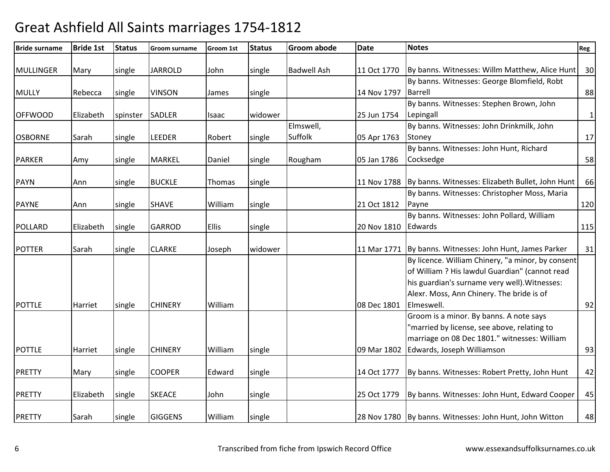| <b>Bride surname</b> | <b>Bride 1st</b> | <b>Status</b> | <b>Groom surname</b> | Groom 1st    | <b>Status</b> | <b>Groom abode</b> | <b>Date</b> | <b>Notes</b>                                                 | Reg          |
|----------------------|------------------|---------------|----------------------|--------------|---------------|--------------------|-------------|--------------------------------------------------------------|--------------|
| <b>MULLINGER</b>     | Mary             | single        | <b>JARROLD</b>       | John         | single        | <b>Badwell Ash</b> | 11 Oct 1770 | By banns. Witnesses: Willm Matthew, Alice Hunt               | 30           |
|                      |                  |               |                      |              |               |                    |             | By banns. Witnesses: George Blomfield, Robt                  |              |
| <b>MULLY</b>         | Rebecca          | single        | <b>VINSON</b>        | James        | single        |                    | 14 Nov 1797 | <b>Barrell</b>                                               | 88           |
|                      |                  |               |                      |              |               |                    |             | By banns. Witnesses: Stephen Brown, John                     |              |
| <b>OFFWOOD</b>       | Elizabeth        | spinster      | <b>SADLER</b>        | Isaac        | widower       |                    | 25 Jun 1754 | Lepingall                                                    | $\mathbf{1}$ |
|                      |                  |               |                      |              |               | Elmswell,          |             | By banns. Witnesses: John Drinkmilk, John                    |              |
| <b>OSBORNE</b>       | Sarah            | single        | <b>LEEDER</b>        | Robert       | single        | Suffolk            | 05 Apr 1763 | Stoney                                                       | 17           |
|                      |                  |               |                      |              |               |                    |             | By banns. Witnesses: John Hunt, Richard                      |              |
| <b>PARKER</b>        | Amy              | single        | <b>MARKEL</b>        | Daniel       | single        | Rougham            | 05 Jan 1786 | Cocksedge                                                    | 58           |
| <b>PAYN</b>          | Ann              | single        | <b>BUCKLE</b>        | Thomas       | single        |                    |             | 11 Nov 1788 By banns. Witnesses: Elizabeth Bullet, John Hunt | 66           |
|                      |                  |               |                      |              |               |                    |             | By banns. Witnesses: Christopher Moss, Maria                 |              |
| <b>PAYNE</b>         | Ann              | single        | <b>SHAVE</b>         | William      | single        |                    | 21 Oct 1812 | Payne                                                        | 120          |
|                      |                  |               |                      |              |               |                    |             | By banns. Witnesses: John Pollard, William                   |              |
| <b>POLLARD</b>       | Elizabeth        | single        | <b>GARROD</b>        | <b>Ellis</b> | single        |                    | 20 Nov 1810 | Edwards                                                      | 115          |
|                      |                  |               |                      |              |               |                    |             |                                                              |              |
| <b>POTTER</b>        | Sarah            | single        | <b>CLARKE</b>        | Joseph       | widower       |                    | 11 Mar 1771 | By banns. Witnesses: John Hunt, James Parker                 | 31           |
|                      |                  |               |                      |              |               |                    |             | By licence. William Chinery, "a minor, by consent            |              |
|                      |                  |               |                      |              |               |                    |             | of William ? His lawdul Guardian" (cannot read               |              |
|                      |                  |               |                      |              |               |                    |             | his guardian's surname very well). Witnesses:                |              |
|                      |                  |               |                      |              |               |                    |             | Alexr. Moss, Ann Chinery. The bride is of                    |              |
| <b>POTTLE</b>        | Harriet          | single        | <b>CHINERY</b>       | William      |               |                    | 08 Dec 1801 | Elmeswell.                                                   | 92           |
|                      |                  |               |                      |              |               |                    |             | Groom is a minor. By banns. A note says                      |              |
|                      |                  |               |                      |              |               |                    |             | 'married by license, see above, relating to                  |              |
|                      |                  |               |                      |              |               |                    |             | marriage on 08 Dec 1801." witnesses: William                 |              |
| <b>POTTLE</b>        | Harriet          | single        | <b>CHINERY</b>       | William      | single        |                    | 09 Mar 1802 | Edwards, Joseph Williamson                                   | 93           |
| <b>PRETTY</b>        | Mary             | single        | <b>COOPER</b>        | Edward       | single        |                    | 14 Oct 1777 | By banns. Witnesses: Robert Pretty, John Hunt                | 42           |
|                      |                  |               |                      |              |               |                    |             |                                                              |              |
| <b>PRETTY</b>        | Elizabeth        | single        | <b>SKEACE</b>        | John         | single        |                    | 25 Oct 1779 | By banns. Witnesses: John Hunt, Edward Cooper                | 45           |
| <b>PRETTY</b>        | Sarah            | single        | <b>GIGGENS</b>       | William      | single        |                    |             | 28 Nov 1780   By banns. Witnesses: John Hunt, John Witton    | 48           |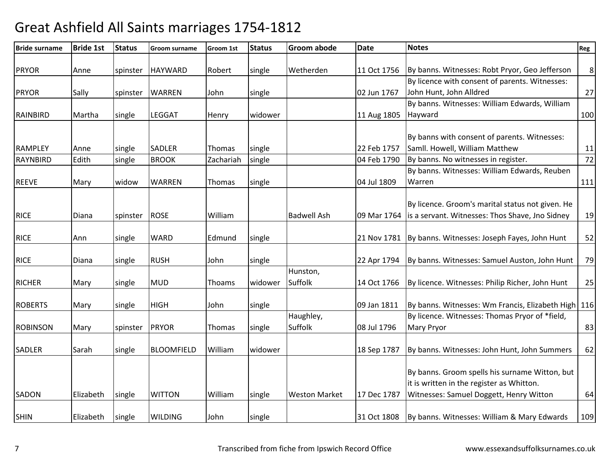| <b>Bride surname</b> | <b>Bride 1st</b> | <b>Status</b> | <b>Groom surname</b> | <b>Groom 1st</b> | <b>Status</b> | <b>Groom abode</b>   | <b>Date</b> | <b>Notes</b>                                             | Reg     |
|----------------------|------------------|---------------|----------------------|------------------|---------------|----------------------|-------------|----------------------------------------------------------|---------|
| <b>PRYOR</b>         | Anne             | spinster      | <b>HAYWARD</b>       | Robert           | single        | Wetherden            | 11 Oct 1756 | By banns. Witnesses: Robt Pryor, Geo Jefferson           | $\,8\,$ |
|                      |                  |               |                      |                  |               |                      |             | By licence with consent of parents. Witnesses:           |         |
| <b>PRYOR</b>         | Sally            |               | <b>WARREN</b>        | John             |               |                      | 02 Jun 1767 | John Hunt, John Alldred                                  | 27      |
|                      |                  | spinster      |                      |                  | single        |                      |             | By banns. Witnesses: William Edwards, William            |         |
| <b>RAINBIRD</b>      | Martha           | single        | <b>LEGGAT</b>        | Henry            | widower       |                      | 11 Aug 1805 | Hayward                                                  | 100     |
|                      |                  |               |                      |                  |               |                      |             |                                                          |         |
|                      |                  |               |                      |                  |               |                      |             | By banns with consent of parents. Witnesses:             |         |
| <b>RAMPLEY</b>       | Anne             | single        | <b>SADLER</b>        | Thomas           | single        |                      | 22 Feb 1757 | Samll. Howell, William Matthew                           | 11      |
| <b>RAYNBIRD</b>      | Edith            | single        | <b>BROOK</b>         | Zachariah        | single        |                      | 04 Feb 1790 | By banns. No witnesses in register.                      | 72      |
|                      |                  |               |                      |                  |               |                      |             | By banns. Witnesses: William Edwards, Reuben             |         |
| <b>REEVE</b>         | Mary             | widow         | <b>WARREN</b>        | Thomas           | single        |                      | 04 Jul 1809 | Warren                                                   | 111     |
|                      |                  |               |                      |                  |               |                      |             |                                                          |         |
|                      |                  |               |                      |                  |               |                      |             | By licence. Groom's marital status not given. He         |         |
|                      |                  |               |                      |                  |               |                      |             |                                                          |         |
| <b>RICE</b>          | Diana            | spinster      | <b>ROSE</b>          | William          |               | <b>Badwell Ash</b>   | 09 Mar 1764 | is a servant. Witnesses: Thos Shave, Jno Sidney          | 19      |
|                      |                  |               |                      |                  |               |                      |             |                                                          |         |
| <b>RICE</b>          | Ann              | single        | <b>WARD</b>          | Edmund           | single        |                      |             | 21 Nov 1781 By banns. Witnesses: Joseph Fayes, John Hunt | 52      |
| <b>RICE</b>          | Diana            | single        | <b>RUSH</b>          | John             | single        |                      | 22 Apr 1794 | By banns. Witnesses: Samuel Auston, John Hunt            | 79      |
|                      |                  |               |                      |                  |               | Hunston,             |             |                                                          |         |
| <b>RICHER</b>        | Mary             | single        | MUD                  | <b>Thoams</b>    | widower       | Suffolk              | 14 Oct 1766 | By licence. Witnesses: Philip Richer, John Hunt          | 25      |
|                      |                  |               |                      |                  |               |                      |             |                                                          |         |
| <b>ROBERTS</b>       | Mary             | single        | <b>HIGH</b>          | John             | single        |                      | 09 Jan 1811 | By banns. Witnesses: Wm Francis, Elizabeth High 116      |         |
|                      |                  |               |                      |                  |               | Haughley,            |             | By licence. Witnesses: Thomas Pryor of *field,           |         |
| <b>ROBINSON</b>      | Mary             | spinster      | <b>PRYOR</b>         | Thomas           | single        | Suffolk              | 08 Jul 1796 | <b>Mary Pryor</b>                                        | 83      |
|                      |                  |               |                      |                  |               |                      |             |                                                          |         |
| <b>SADLER</b>        | Sarah            | single        | <b>BLOOMFIELD</b>    | William          | widower       |                      | 18 Sep 1787 | By banns. Witnesses: John Hunt, John Summers             | 62      |
|                      |                  |               |                      |                  |               |                      |             |                                                          |         |
|                      |                  |               |                      |                  |               |                      |             | By banns. Groom spells his surname Witton, but           |         |
|                      |                  |               |                      |                  |               |                      |             | it is written in the register as Whitton.                |         |
| <b>SADON</b>         | Elizabeth        | single        | <b>WITTON</b>        | William          | single        | <b>Weston Market</b> | 17 Dec 1787 | Witnesses: Samuel Doggett, Henry Witton                  | 64      |
|                      |                  |               |                      |                  |               |                      |             |                                                          |         |
| <b>SHIN</b>          | Elizabeth        | single        | <b>WILDING</b>       | John             | single        |                      | 31 Oct 1808 | By banns. Witnesses: William & Mary Edwards              | 109     |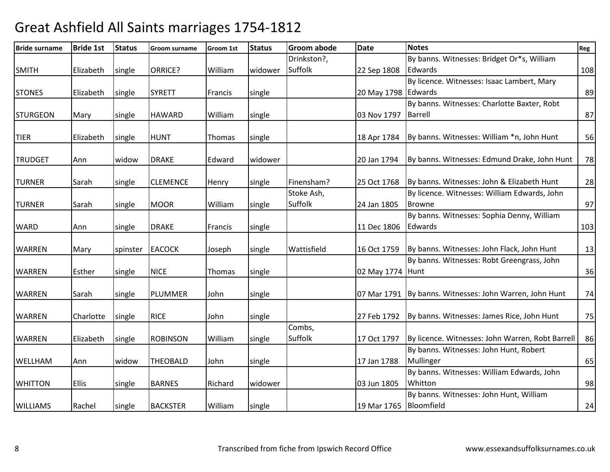| <b>Bride surname</b> | <b>Bride 1st</b> | <b>Status</b> | Groom surname   | Groom 1st | <b>Status</b> | Groom abode | <b>Date</b>            | <b>Notes</b>                                              | Reg |
|----------------------|------------------|---------------|-----------------|-----------|---------------|-------------|------------------------|-----------------------------------------------------------|-----|
|                      |                  |               |                 |           |               | Drinkston?, |                        | By banns. Witnesses: Bridget Or*s, William                |     |
| <b>SMITH</b>         | Elizabeth        | single        | ORRICE?         | William   | widower       | Suffolk     | 22 Sep 1808            | Edwards                                                   | 108 |
|                      |                  |               |                 |           |               |             |                        | By licence. Witnesses: Isaac Lambert, Mary                |     |
| <b>STONES</b>        | Elizabeth        | single        | <b>SYRETT</b>   | Francis   | single        |             | 20 May 1798 Edwards    |                                                           | 89  |
|                      |                  |               |                 |           |               |             |                        | By banns. Witnesses: Charlotte Baxter, Robt               |     |
| <b>STURGEON</b>      | Mary             | single        | <b>HAWARD</b>   | William   | single        |             | 03 Nov 1797            | Barrell                                                   | 87  |
|                      |                  |               |                 |           |               |             |                        |                                                           |     |
| <b>TIER</b>          | Elizabeth        | single        | <b>HUNT</b>     | Thomas    | single        |             | 18 Apr 1784            | By banns. Witnesses: William *n, John Hunt                | 56  |
| <b>TRUDGET</b>       | Ann              | widow         | <b>DRAKE</b>    | Edward    | widower       |             | 20 Jan 1794            | By banns. Witnesses: Edmund Drake, John Hunt              | 78  |
|                      |                  |               |                 |           |               |             |                        |                                                           |     |
| <b>TURNER</b>        | Sarah            | single        | <b>CLEMENCE</b> | Henry     | single        | Finensham?  | 25 Oct 1768            | By banns. Witnesses: John & Elizabeth Hunt                | 28  |
|                      |                  |               |                 |           |               | Stoke Ash,  |                        | By licence. Witnesses: William Edwards, John              |     |
| <b>TURNER</b>        | Sarah            | single        | <b>MOOR</b>     | William   | single        | Suffolk     | 24 Jan 1805            | <b>Browne</b>                                             | 97  |
|                      |                  |               |                 |           |               |             |                        | By banns. Witnesses: Sophia Denny, William                |     |
| <b>WARD</b>          | Ann              | single        | <b>DRAKE</b>    | Francis   | single        |             | 11 Dec 1806            | Edwards                                                   | 103 |
| <b>WARREN</b>        | Mary             | spinster      | <b>EACOCK</b>   | Joseph    | single        | Wattisfield | 16 Oct 1759            | By banns. Witnesses: John Flack, John Hunt                | 13  |
|                      |                  |               |                 |           |               |             |                        | By banns. Witnesses: Robt Greengrass, John                |     |
| <b>WARREN</b>        | Esther           | single        | <b>NICE</b>     | Thomas    | single        |             | 02 May 1774 Hunt       |                                                           | 36  |
|                      |                  |               |                 |           |               |             |                        |                                                           |     |
| <b>WARREN</b>        | Sarah            | single        | PLUMMER         | John      | single        |             |                        | 07 Mar 1791   By banns. Witnesses: John Warren, John Hunt | 74  |
| <b>WARREN</b>        | Charlotte        | single        | <b>RICE</b>     | John      | single        |             | 27 Feb 1792            | By banns. Witnesses: James Rice, John Hunt                | 75  |
|                      |                  |               |                 |           |               | Combs,      |                        |                                                           |     |
| <b>WARREN</b>        | Elizabeth        | single        | <b>ROBINSON</b> | William   | single        | Suffolk     | 17 Oct 1797            | By licence. Witnesses: John Warren, Robt Barrell          | 86  |
|                      |                  |               |                 |           |               |             |                        | By banns. Witnesses: John Hunt, Robert                    |     |
| WELLHAM              | Ann              | widow         | <b>THEOBALD</b> | John      | single        |             | 17 Jan 1788            | Mullinger                                                 | 65  |
|                      |                  |               |                 |           |               |             |                        | By banns. Witnesses: William Edwards, John                |     |
| <b>WHITTON</b>       | <b>Ellis</b>     | single        | <b>BARNES</b>   | Richard   | widower       |             | 03 Jun 1805            | Whitton                                                   | 98  |
|                      |                  |               |                 |           |               |             |                        | By banns. Witnesses: John Hunt, William                   |     |
| <b>WILLIAMS</b>      | Rachel           | single        | <b>BACKSTER</b> | William   | single        |             | 19 Mar 1765 Bloomfield |                                                           | 24  |